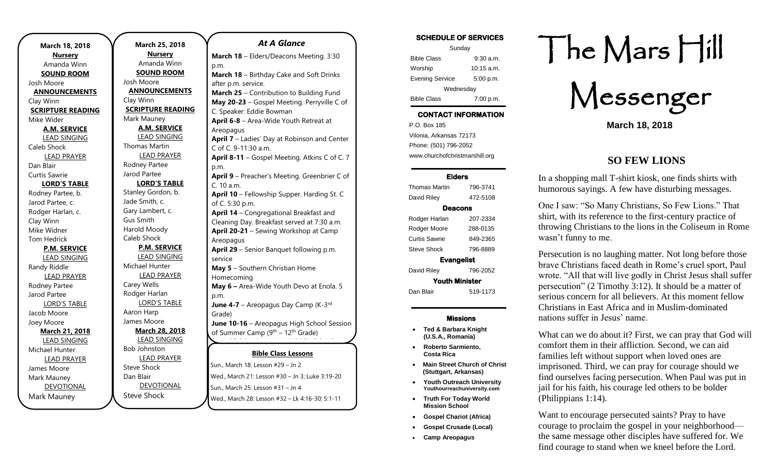| March 18, 2018           | March 25, 2018           | <b>At A Glanc</b>                 |
|--------------------------|--------------------------|-----------------------------------|
| <b>Nursery</b>           | <b>Nursery</b>           | March 18 - Elders/Deacons M       |
| Amanda Winn              | Amanda Winn              | p.m.                              |
| <b>SOUND ROOM</b>        | <b>SOUND ROOM</b>        | March 18 - Birthday Cake an       |
| Josh Moore               | Josh Moore               | after p.m. service.               |
| <b>ANNOUNCEMENTS</b>     | <b>ANNOUNCEMENTS</b>     | March 25 - Contribution to E      |
| Clay Winn                | Clay Winn                | May 20-23 - Gospel Meeting        |
| <b>SCRIPTURE READING</b> | <b>SCRIPTURE READING</b> | C. Speaker: Eddie Bowman          |
| Mike Wider               | Mark Mauney              | April 6-8 - Area-Wide Youth       |
| <b>A.M. SERVICE</b>      | <b>A.M. SERVICE</b>      | Areopagus                         |
| <b>LEAD SINGING</b>      | <b>LEAD SINGING</b>      | April 7 - Ladies' Day at Robir    |
| Caleb Shock              | <b>Thomas Martin</b>     | C of C. 9-11:30 a.m.              |
| <b>LEAD PRAYER</b>       | <b>LEAD PRAYER</b>       | April 8-11 - Gospel Meeting.      |
| Dan Blair                | Rodney Partee            | p.m.                              |
| Curtis Sawrie            | Jarod Partee             | April 9 - Preacher's Meeting.     |
| <b>LORD'S TABLE</b>      | <b>LORD'S TABLE</b>      | C. 10 a.m.                        |
| Rodney Partee, b.        | Stanley Gordon, b.       | April 10 - Fellowship Supper      |
| Jarod Partee, c.         | Jade Smith, c.           | of C. 5:30 p.m.                   |
| Rodger Harlan, c.        | Gary Lambert, c.         | April 14 - Congregational Br      |
| Clay Winn                | <b>Gus Smith</b>         | Cleaning Day. Breakfast serve     |
| Mike Widner              | Harold Moody             | April 20-21 - Sewing Worksh       |
| <b>Tom Hedrick</b>       | Caleb Shock              | Areopagus                         |
| <b>P.M. SERVICE</b>      | <b>P.M. SERVICE</b>      | April 29 - Senior Banquet fol     |
| <b>LEAD SINGING</b>      | LEAD SINGING             | service                           |
| Randy Riddle             | Michael Hunter           | May 5 - Southern Christian H      |
| <b>LEAD PRAYER</b>       | <b>LEAD PRAYER</b>       | Homecoming                        |
| Rodney Partee            | Carey Wells              | May 6 - Area-Wide Youth De        |
| Jarod Partee             | Rodger Harlan            | p.m.                              |
| <b>LORD'S TABLE</b>      | <b>LORD'S TABLE</b>      | June 4-7 - Areopagus Day Ca       |
| Jacob Moore              | Aaron Harp               | Grade)                            |
| Joey Moore               | James Moore              | June 10-16 - Areopagus Hig        |
| <b>March 21, 2018</b>    | <b>March 28, 2018</b>    | of Summer Camp (9th - 12th G      |
| <b>LEAD SINGING</b>      | <b>LEAD SINGING</b>      |                                   |
| Michael Hunter           | <b>Bob Johnston</b>      | <b>Bible Class Less</b>           |
| <b>LEAD PRAYER</b>       | <b>LEAD PRAYER</b>       |                                   |
| James Moore              | <b>Steve Shock</b>       | Sun., March 18: Lesson #29 - Jn 2 |
| Mark Mauney              | Dan Blair                | Wed., March 21: Lesson #30 - Jn.  |
| <b>DEVOTIONAL</b>        | <b>DEVOTIONAL</b>        | Sun., March 25: Lesson #31 - Jn 4 |
| Mark Mauney              | <b>Steve Shock</b>       | Wed., March 28: Lesson #32 - Lk   |
|                          |                          |                                   |

| At A Glance                                                                                                |
|------------------------------------------------------------------------------------------------------------|
| March 18 - Elders/Deacons Meeting. 3:30                                                                    |
| p.m.                                                                                                       |
| March 18 - Birthday Cake and Soft Drinks                                                                   |
| after p.m. service.                                                                                        |
| March 25 - Contribution to Building Fund                                                                   |
| May 20-23 - Gospel Meeting. Perryville C of                                                                |
| C. Speaker: Eddie Bowman                                                                                   |
| April 6-8 - Area-Wide Youth Retreat at                                                                     |
| Areopagus                                                                                                  |
| April 7 - Ladies' Day at Robinson and Center                                                               |
| C of C. 9-11:30 a.m.                                                                                       |
| April 8-11 - Gospel Meeting. Atkins C of C. 7                                                              |
| p.m.                                                                                                       |
| April 9 - Preacher's Meeting. Greenbrier C of                                                              |
| C. 10 a.m.                                                                                                 |
| April 10 - Fellowship Supper. Harding St. C<br>of C. 5:30 p.m.                                             |
| April 14 - Congregational Breakfast and                                                                    |
| Cleaning Day. Breakfast served at 7:30 a.m.                                                                |
| April 20-21 - Sewing Workshop at Camp                                                                      |
| Areopagus                                                                                                  |
| April 29 - Senior Banquet following p.m.                                                                   |
| service                                                                                                    |
| May 5 - Southern Christian Home                                                                            |
| Homecoming                                                                                                 |
| May 6 - Area-Wide Youth Devo at Enola. 5                                                                   |
| p.m.                                                                                                       |
| June 4-7 - Areopagus Day Camp (K-3rd                                                                       |
| Grade)                                                                                                     |
| June 10-16 - Areopagus High School Session                                                                 |
| of Summer Camp (9 <sup>th</sup> – 12 <sup>th</sup> Grade)                                                  |
|                                                                                                            |
| <b>Bible Class Lessons</b>                                                                                 |
| Sun., March 18: Lesson #29 - Jn 2                                                                          |
| Wed., March 21: Lesson #30 - Jn 3; Luke 3:19-20                                                            |
| $M_{\text{total}}$ $\Delta E_{\text{total}}$ $\Delta E_{\text{total}}$ $\Delta E_{\text{total}}$<br>$\sim$ |

Lesson #32 – Lk 4:16-30; 5:1-11

| <b>SCHEDULE OF SERVICES</b> |              |  |  |
|-----------------------------|--------------|--|--|
| Sunday                      |              |  |  |
| <b>Bible Class</b>          | $9:30$ a.m.  |  |  |
| Worship                     | $10:15$ a.m. |  |  |
| <b>Evening Service</b>      | 5:00 p.m.    |  |  |
| Wednesday                   |              |  |  |

## CONTACT INFORMATION

Bible Class 7:00 p.m.

. .o. Box 166<br>Vilonia, Arkansas 72173 P.O. Box 185 Phone: (501) 796-2052 www.churchofchristmarshill.org

#### Elders

| Thomas Martin         | 796-3741 |  |  |
|-----------------------|----------|--|--|
| David Riley           | 472-5108 |  |  |
| Deacons               |          |  |  |
| Rodger Harlan         | 207-2334 |  |  |
| Rodger Moore          | 288-0135 |  |  |
| Curtis Sawrie         | 849-2365 |  |  |
| Steve Shock           | 796-8889 |  |  |
| <b>Evangelist</b>     |          |  |  |
| David Riley           | 796-2052 |  |  |
| <b>Youth Minister</b> |          |  |  |
| Dan Blair             | 519-1173 |  |  |
|                       |          |  |  |

#### Missions

- **Ted & Barbara Knight (U.S.A., Romania)**
- **Roberto Sarmiento, Costa Rica**
- **Main Street Church of Christ (Stuttgart, Arkansas)**
- **Youth Outreach University Youthourreachuniversity.com**
- **Truth For Today World Mission School**
- **Gospel Chariot (Africa)**
- **Gospel Crusade (Local)**
- **Camp Areopagus**

# The Mars Hill

Messenger

**March 18, 2018**

## **SO FEW LIONS**

In a shopping mall T-shirt kiosk, one finds shirts with humorous sayings. A few have disturbing messages.

One I saw: "So Many Christians, So Few Lions." That shirt, with its reference to the first-century practice of throwing Christians to the lions in the Coliseum in Rome wasn't funny to me.

Persecution is no laughing matter. Not long before those brave Christians faced death in Rome's cruel sport, Paul wrote. "All that will live godly in Christ Jesus shall suffer persecution" [\(2 Timothy 3:12\)](https://biblia.com/bible/kjv1900/2%20Tim%203.12). It should be a matter of serious concern for all believers. At this moment fellow Christians in East Africa and in Muslim-dominated nations suffer in Jesus' name.

What can we do about it? First, we can pray that God will comfort them in their affliction. Second, we can aid families left without support when loved ones are imprisoned. Third, we can pray for courage should we find ourselves facing persecution. When Paul was put in jail for his faith, his courage led others to be bolder [\(Philippians 1:14\)](https://biblia.com/bible/kjv1900/Phil%201.14).

Want to encourage persecuted saints? Pray to have courage to proclaim the gospel in your neighborhood the same message other disciples have suffered for. We find courage to stand when we kneel before the Lord.